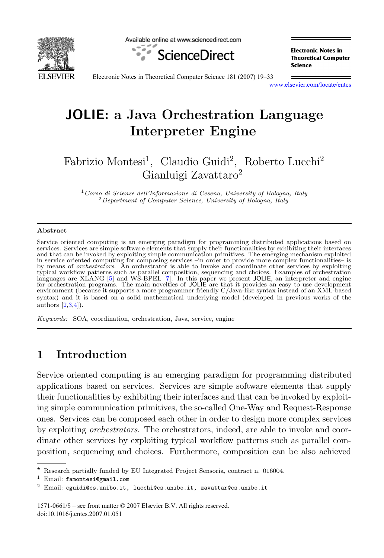

Available online at www.sciencedirect.com



**Electronic Notes in Theoretical Computer** Science

Electronic Notes in Theoretical Computer Science 181 (2007) 19–33

[www.elsevier.com/locate/entcs](http://www.elsevier.com/locate/entcs)

# **JOLIE: a Java Orchestration Language Interpreter Engine**

Fabrizio Montesi<sup>1</sup>, Claudio Guidi<sup>2</sup>, Roberto Lucchi<sup>2</sup> Gianluigi Zavattaro<sup>2</sup>

<sup>1</sup>Corso di Scienze dell'Informazione di Cesena, University of Bologna, Italy <sup>2</sup>Department of Computer Science, University of Bologna, Italy

#### **Abstract**

Service oriented computing is an emerging paradigm for programming distributed applications based on services. Services are simple software elements that supply their functionalities by exhibiting their interfaces and that can be invoked by exploiting simple communication primitives. The emerging mechanism exploited in service oriented computing for composing services –in order to provide more complex functionalities– is by means of orchestrators. An orchestrator is able to invoke and coordinate other services by exploiting typical workflow patterns such as parallel composition, sequencing and choices. Examples of orchestration<br>languages are XLANG [\[5\]](#page-13-0) and WS-BPEL [\[7\]](#page-13-0). In this paper we present JOLIE, an interpreter and engine<br>for orchestration syntax) and it is based on a solid mathematical underlying model (developed in previous works of the authors [\[2,3,4\]](#page-13-0)).

Keywords: SOA, coordination, orchestration, Java, service, engine

# **1 Introduction**

Service oriented computing is an emerging paradigm for programming distributed applications based on services. Services are simple software elements that supply their functionalities by exhibiting their interfaces and that can be invoked by exploiting simple communication primitives, the so-called One-Way and Request-Response ones. Services can be composed each other in order to design more complex services by exploiting orchestrators. The orchestrators, indeed, are able to invoke and coordinate other services by exploiting typical workflow patterns such as parallel composition, sequencing and choices. Furthermore, composition can be also achieved

1571-0661/\$ – see front matter © 2007 Elsevier B.V. All rights reserved. doi:10.1016/j.entcs.2007.01.051

<sup>-</sup> Research partially funded by EU Integrated Project Sensoria, contract n. 016004.

<sup>1</sup> Email: famontesi@gmail.com

 $2$  Email: cguidi@cs.unibo.it, lucchi@cs.unibo.it, zavattar@cs.unibo.it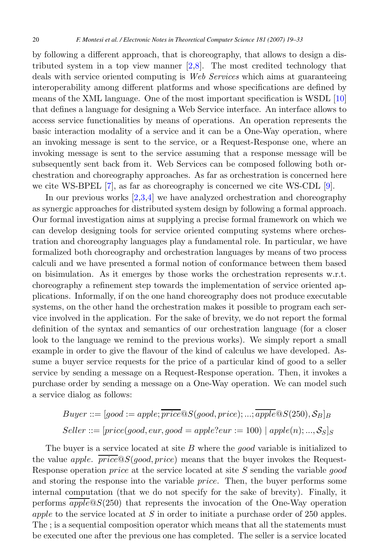by following a different approach, that is choreography, that allows to design a distributed system in a top view manner  $[2,8]$  $[2,8]$ . The most credited technology that deals with service oriented computing is Web Services which aims at guaranteeing interoperability among different platforms and whose specifications are defined by means of the XML language. One of the most important specification is WSDL [\[10\]](#page-14-0) that defines a language for designing a Web Service interface. An interface allows to access service functionalities by means of operations. An operation represents the basic interaction modality of a service and it can be a One-Way operation, where an invoking message is sent to the service, or a Request-Response one, where an invoking message is sent to the service assuming that a response message will be subsequently sent back from it. Web Services can be composed following both orchestration and choreography approaches. As far as orchestration is concerned here we cite WS-BPEL [\[7\]](#page-13-0), as far as choreography is concerned we cite WS-CDL [\[9\]](#page-14-0).

In our previous works  $[2,3,4]$  we have analyzed orchestration and choreography as synergic approaches for distributed system design by following a formal approach. Our formal investigation aims at supplying a precise formal framework on which we can develop designing tools for service oriented computing systems where orchestration and choreography languages play a fundamental role. In particular, we have formalized both choreography and orchestration languages by means of two process calculi and we have presented a formal notion of conformance between them based on bisimulation. As it emerges by those works the orchestration represents w.r.t. choreography a refinement step towards the implementation of service oriented applications. Informally, if on the one hand choreography does not produce executable systems, on the other hand the orchestration makes it possible to program each service involved in the application. For the sake of brevity, we do not report the formal definition of the syntax and semantics of our orchestration language (for a closer look to the language we remind to the previous works). We simply report a small example in order to give the flavour of the kind of calculus we have developed. Assume a buyer service requests for the price of a particular kind of good to a seller service by sending a message on a Request-Response operation. Then, it invokes a purchase order by sending a message on a One-Way operation. We can model such a service dialog as follows:

\n
$$
\text{Buyer} ::= [good := apple; \overline{price} \textcircled{S}(good, price); \ldots; \overline{apple} \textcircled{S}(250), \mathcal{S}_B]_B
$$
\n

\n\n $\text{Seller} ::= [price(good, eur, good = apple? eur := 100) \mid apple(n); \ldots, \mathcal{S}_S]$ \n

The buyer is a service located at site  $B$  where the good variable is initialized to the value apple.  $\overline{price}@S(good, price)$  means that the buyer invokes the Request-Response operation price at the service located at site S sending the variable good and storing the response into the variable price. Then, the buyer performs some internal computation (that we do not specify for the sake of brevity). Finally, it performs  $apple@S(250)$  that represents the invocation of the One-Way operation apple to the service located at S in order to initiate a purchase order of 250 apples. The ; is a sequential composition operator which means that all the statements must be executed one after the previous one has completed. The seller is a service located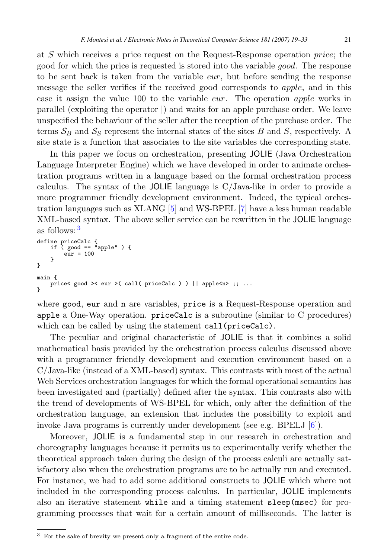at S which receives a price request on the Request-Response operation price; the good for which the price is requested is stored into the variable good. The response to be sent back is taken from the variable eur, but before sending the response message the seller verifies if the received good corresponds to apple, and in this case it assign the value 100 to the variable eur. The operation apple works in parallel (exploiting the operator |) and waits for an apple purchase order. We leave unspecified the behaviour of the seller after the reception of the purchase order. The terms  $S_B$  and  $S_S$  represent the internal states of the sites B and S, respectively. A site state is a function that associates to the site variables the corresponding state.

In this paper we focus on orchestration, presenting JOLIE (Java Orchestration Language Interpreter Engine) which we have developed in order to animate orchestration programs written in a language based on the formal orchestration process calculus. The syntax of the JOLIE language is C/Java-like in order to provide a more programmer friendly development environment. Indeed, the typical orchestration languages such as XLANG [\[5\]](#page-13-0) and WS-BPEL [\[7\]](#page-13-0) have a less human readable XML-based syntax. The above seller service can be rewritten in the JOLIE language as follows: <sup>3</sup>

```
define priceCalc {
if ( good == "apple" ) {
eur = 100
     }
}
main {
     price< good >< eur >( call( priceCalc ) ) || apple<n> ;; ...
}
```
where good, eur and n are variables, price is a Request-Response operation and apple a One-Way operation. priceCalc is a subroutine (similar to C procedures) which can be called by using the statement call(priceCalc).

The peculiar and original characteristic of JOLIE is that it combines a solid mathematical basis provided by the orchestration process calculus discussed above with a programmer friendly development and execution environment based on a C/Java-like (instead of a XML-based) syntax. This contrasts with most of the actual Web Services orchestration languages for which the formal operational semantics has been investigated and (partially) defined after the syntax. This contrasts also with the trend of developments of WS-BPEL for which, only after the definition of the orchestration language, an extension that includes the possibility to exploit and invoke Java programs is currently under development (see e.g. BPELJ [\[6\]](#page-13-0)).

Moreover, JOLIE is a fundamental step in our research in orchestration and choreography languages because it permits us to experimentally verify whether the theoretical approach taken during the design of the process calculi are actually satisfactory also when the orchestration programs are to be actually run and executed. For instance, we had to add some additional constructs to JOLIE which where not included in the corresponding process calculus. In particular, JOLIE implements also an iterative statement while and a timing statement sleep(msec) for programming processes that wait for a certain amount of milliseconds. The latter is

<sup>3</sup> For the sake of brevity we present only a fragment of the entire code.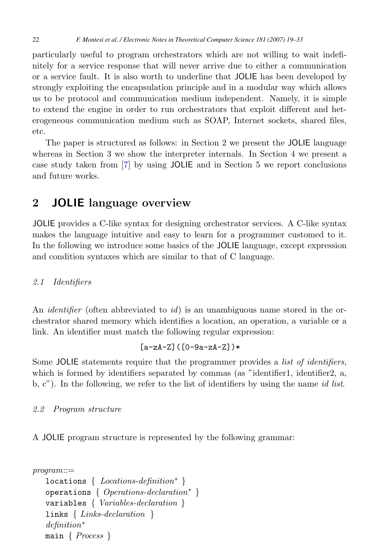particularly useful to program orchestrators which are not willing to wait indefinitely for a service response that will never arrive due to either a communication or a service fault. It is also worth to underline that JOLIE has been developed by strongly exploiting the encapsulation principle and in a modular way which allows us to be protocol and communication medium independent. Namely, it is simple to extend the engine in order to run orchestrators that exploit different and heterogeneous communication medium such as SOAP, Internet sockets, shared files, etc.

The paper is structured as follows: in Section 2 we present the JOLIE language whereas in Section 3 we show the interpreter internals. In Section 4 we present a case study taken from [\[7\]](#page-13-0) by using JOLIE and in Section 5 we report conclusions and future works.

# **2 JOLIE language overview**

JOLIE provides a C-like syntax for designing orchestrator services. A C-like syntax makes the language intuitive and easy to learn for a programmer customed to it. In the following we introduce some basics of the JOLIE language, except expression and condition syntaxes which are similar to that of C language.

### 2.1 Identifiers

An *identifier* (often abbreviated to *id*) is an unambiguous name stored in the orchestrator shared memory which identifies a location, an operation, a variable or a link. An identifier must match the following regular expression:

$$
[a-zA-Z] ([0-9a-zA-Z]) *
$$

Some JOLIE statements require that the programmer provides a list of identifiers, which is formed by identifiers separated by commas (as "identifier1, identifier2, a, b,  $c$ "). In the following, we refer to the list of identifiers by using the name id list.

2.2 Program structure

A JOLIE program structure is represented by the following grammar:

```
program::=locations { Locations-definition∗ }
   operations { Operations-declaration∗ }
   variables { Variables-declaration }
   links { Links-declaration }
   definition∗
   main \{ Process \}
```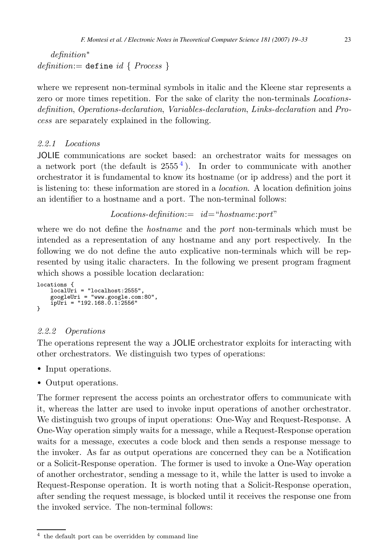```
definition∗
definition := \text{define } id \{ Process \}
```
where we represent non-terminal symbols in italic and the Kleene star represents a zero or more times repetition. For the sake of clarity the non-terminals *Locations*definition, Operations-declaration, Variables-declaration, Links-declaration and Process are separately explained in the following.

# 2.2.1 Locations

JOLIE communications are socket based: an orchestrator waits for messages on a network port (the default is  $2555<sup>4</sup>$ ). In order to communicate with another orchestrator it is fundamental to know its hostname (or ip address) and the port it is listening to: these information are stored in a *location*. A location definition joins an identifier to a hostname and a port. The non-terminal follows:

 $Locations\text{-}definition:=\ id="hostname:port"$ 

where we do not define the *hostname* and the *port* non-terminals which must be intended as a representation of any hostname and any port respectively. In the following we do not define the auto explicative non-terminals which will be represented by using italic characters. In the following we present program fragment which shows a possible location declaration:

```
locations {
localUri = "localhost:2555",
googleUri = "www.google.com:80",
      ipUri = "192.168.0.1:2556"}
```
# 2.2.2 Operations

The operations represent the way a JOLIE orchestrator exploits for interacting with other orchestrators. We distinguish two types of operations:

- Input operations.
- Output operations.

The former represent the access points an orchestrator offers to communicate with it, whereas the latter are used to invoke input operations of another orchestrator. We distinguish two groups of input operations: One-Way and Request-Response. A One-Way operation simply waits for a message, while a Request-Response operation waits for a message, executes a code block and then sends a response message to the invoker. As far as output operations are concerned they can be a Notification or a Solicit-Response operation. The former is used to invoke a One-Way operation of another orchestrator, sending a message to it, while the latter is used to invoke a Request-Response operation. It is worth noting that a Solicit-Response operation, after sending the request message, is blocked until it receives the response one from the invoked service. The non-terminal follows:

<sup>4</sup> the default port can be overridden by command line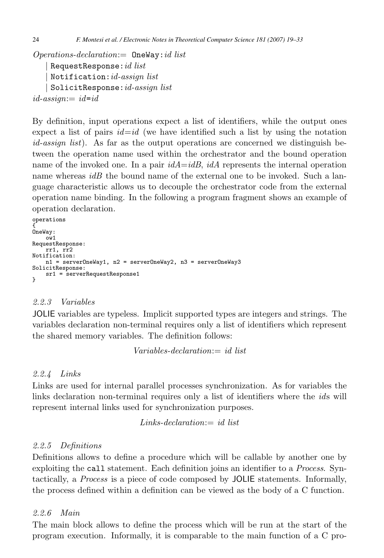```
Operations-declaration := OneWay: id list
     RequestResponse:id list
     Notification:id-assignment list
     \texttt{SolicitResponse}:id\text{-}assign\ listid\text{-}assign := id\text{=} id
```
By definition, input operations expect a list of identifiers, while the output ones expect a list of pairs  $id=id$  (we have identified such a list by using the notation  $id\text{-}assign\; list)$ . As far as the output operations are concerned we distinguish between the operation name used within the orchestrator and the bound operation name of the invoked one. In a pair  $idA = idB$ ,  $idA$  represents the internal operation name whereas  $idB$  the bound name of the external one to be invoked. Such a language characteristic allows us to decouple the orchestrator code from the external operation name binding. In the following a program fragment shows an example of operation declaration.

```
operations
{
OneWay:
    ow1
RequestResponse:
rr1, rr2
Notification:
    n1 = serverOneWay1, n2 = serverOneWay2, n3 = serverOneWay3
SolicitResponse:
    sr1 = \text{serverRequestResponse1}}
```
# 2.2.3 Variables

JOLIE variables are typeless. Implicit supported types are integers and strings. The variables declaration non-terminal requires only a list of identifiers which represent the shared memory variables. The definition follows:

 $Variables-declaration := id$  list

### 2.2.4 Links

Links are used for internal parallel processes synchronization. As for variables the links declaration non-terminal requires only a list of identifiers where the ids will represent internal links used for synchronization purposes.

```
Links\text{-}declaration := id list
```
### 2.2.5 Definitions

Definitions allows to define a procedure which will be callable by another one by exploiting the call statement. Each definition joins an identifier to a Process. Syntactically, a Process is a piece of code composed by JOLIE statements. Informally, the process defined within a definition can be viewed as the body of a C function.

### 2.2.6 Main

The main block allows to define the process which will be run at the start of the program execution. Informally, it is comparable to the main function of a C pro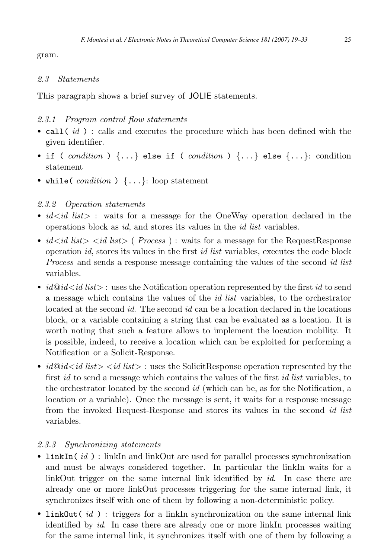gram.

# 2.3 Statements

This paragraph shows a brief survey of JOLIE statements.

# 2.3.1 Program control flow statements

- call (*id*): calls and executes the procedure which has been defined with the given identifier.
- if ( condition )  $\{\ldots\}$  else if ( condition )  $\{\ldots\}$  else  $\{\ldots\}$ : condition statement
- while( condition )  $\{\ldots\}$ : loop statement

# 2.3.2 Operation statements

- $id < id$  list : waits for a message for the OneWay operation declared in the operations block as id, and stores its values in the id list variables.
- $id < id$  list  $> < id$  list  $>$  ( Process ) : waits for a message for the RequestResponse operation  $id$ , stores its values in the first  $id$  list variables, executes the code block Process and sends a response message containing the values of the second *id list* variables.
- $id@id\lt id$  list  $\gt$ : uses the Notification operation represented by the first id to send a message which contains the values of the id list variables, to the orchestrator located at the second id. The second id can be a location declared in the locations block, or a variable containing a string that can be evaluated as a location. It is worth noting that such a feature allows to implement the location mobility. It is possible, indeed, to receive a location which can be exploited for performing a Notification or a Solicit-Response.
- $id@id\lt id$  list  $\lt \lt id$  list  $\gt \lt id$  is the SolicitResponse operation represented by the first id to send a message which contains the values of the first id list variables, to the orchestrator located by the second  $id$  (which can be, as for the Notification, a location or a variable). Once the message is sent, it waits for a response message from the invoked Request-Response and stores its values in the second id list variables.

# 2.3.3 Synchronizing statements

- linkIn( id) : linkIn and linkOut are used for parallel processes synchronization and must be always considered together. In particular the linkIn waits for a linkOut trigger on the same internal link identified by *id*. In case there are already one or more linkOut processes triggering for the same internal link, it synchronizes itself with one of them by following a non-deterministic policy.
- linkOut( $id$ ): triggers for a linkIn synchronization on the same internal link identified by id. In case there are already one or more linkIn processes waiting for the same internal link, it synchronizes itself with one of them by following a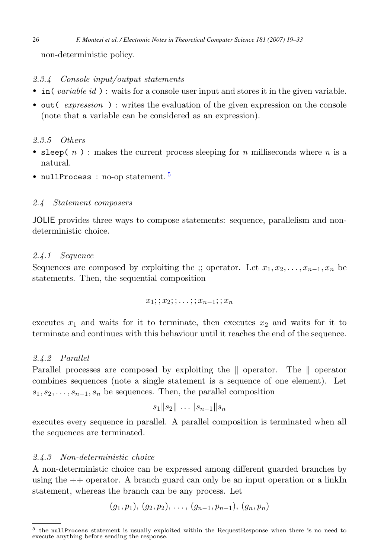non-deterministic policy.

#### 2.3.4 Console input/output statements

- in( variable id): waits for a console user input and stores it in the given variable.
- out (*expression*) : writes the evaluation of the given expression on the console (note that a variable can be considered as an expression).

### 2.3.5 Others

- sleep( $n$ ): makes the current process sleeping for n milliseconds where n is a natural.
- nullProcess : no-op statement.<sup>5</sup>

#### 2.4 Statement composers

JOLIE provides three ways to compose statements: sequence, parallelism and nondeterministic choice.

## 2.4.1 Sequence

Sequences are composed by exploiting the ;; operator. Let  $x_1, x_2, \ldots, x_{n-1}, x_n$  be statements. Then, the sequential composition

$$
x_1;;x_2;;\ldots;;x_{n-1};;x_n
$$

executes  $x_1$  and waits for it to terminate, then executes  $x_2$  and waits for it to terminate and continues with this behaviour until it reaches the end of the sequence.

#### 2.4.2 Parallel

Parallel processes are composed by exploiting the  $\parallel$  operator. The  $\parallel$  operator combines sequences (note a single statement is a sequence of one element). Let  $s_1, s_2, \ldots, s_{n-1}, s_n$  be sequences. Then, the parallel composition

$$
s_1 \| s_2 \| \ldots \| s_{n-1} \| s_n
$$

executes every sequence in parallel. A parallel composition is terminated when all the sequences are terminated.

#### 2.4.3 Non-deterministic choice

A non-deterministic choice can be expressed among different guarded branches by using the  $++$  operator. A branch guard can only be an input operation or a linkIn statement, whereas the branch can be any process. Let

$$
(g_1,p_1), (g_2,p_2), \ldots, (g_{n-1},p_{n-1}), (g_n,p_n)
$$

 $5$  the nullProcess statement is usually exploited within the RequestResponse when there is no need to execute anything before sending the response.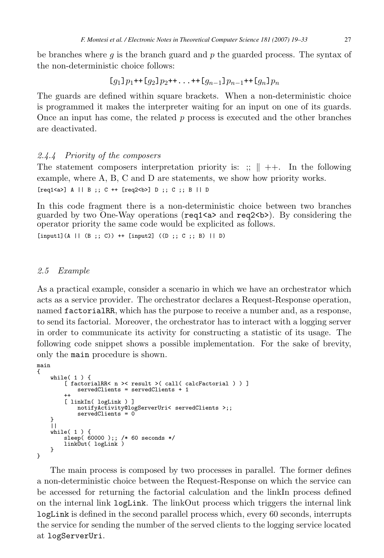be branches where  $g$  is the branch guard and  $p$  the guarded process. The syntax of the non-deterministic choice follows:

$$
[g_1] p_1 + [g_2] p_2 + \ldots + [g_{n-1}] p_{n-1} + [g_n] p_n
$$

The guards are defined within square brackets. When a non-deterministic choice is programmed it makes the interpreter waiting for an input on one of its guards. Once an input has come, the related  $p$  process is executed and the other branches are deactivated.

### 2.4.4 Priority of the composers

The statement composers interpretation priority is:  $\|\cdot\|$  ++. In the following example, where A, B, C and D are statements, we show how priority works.  $[req1 \le a > ]$  A || B ;; C ++  $[req2 \le b > ]$  D ;; C ;; B || D

In this code fragment there is a non-deterministic choice between two branches guarded by two One-Way operations (req1<a> and req2<br/>sb>). By considering the operator priority the same code would be explicited as follows.

 $[input1](A || (B ;; C)) ++ [input2] ((D ;; C ;; B) || D)$ 

### 2.5 Example

As a practical example, consider a scenario in which we have an orchestrator which acts as a service provider. The orchestrator declares a Request-Response operation, named factorialRR, which has the purpose to receive a number and, as a response, to send its factorial. Moreover, the orchestrator has to interact with a logging server in order to communicate its activity for constructing a statistic of its usage. The following code snippet shows a possible implementation. For the sake of brevity, only the main procedure is shown.

```
main
{
    while( 1 ) {
         [ factorialRR< n >< result >( call( calcFactorial ) ) ]
             servedClients = servedClients + 1[ linkIn( logLink ) ]
            notifyActivity@logServerUri< servedClients >;;
             servedClients = 0
    }
    \bar{1}while( 1 ) {
sleep( 60000 );; /* 60 seconds */
        linkOut( logLink )
    }
}
```
The main process is composed by two processes in parallel. The former defines a non-deterministic choice between the Request-Response on which the service can be accessed for returning the factorial calculation and the linkIn process defined on the internal link logLink. The linkOut process which triggers the internal link logLink is defined in the second parallel process which, every 60 seconds, interrupts the service for sending the number of the served clients to the logging service located at logServerUri.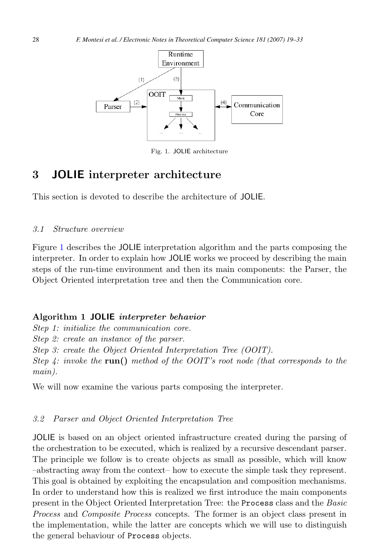

Fig. 1. JOLIE architecture

# **3 JOLIE interpreter architecture**

This section is devoted to describe the architecture of JOLIE.

### 3.1 Structure overview

Figure 1 describes the JOLIE interpretation algorithm and the parts composing the interpreter. In order to explain how JOLIE works we proceed by describing the main steps of the run-time environment and then its main components: the Parser, the Object Oriented interpretation tree and then the Communication core.

# **Algorithm 1 JOLIE interpreter behavior**

Step 1: initialize the communication core.

Step 2: create an instance of the parser.

Step 3: create the Object Oriented Interpretation Tree (OOIT).

Step 4: invoke the **run()** method of the OOIT's root node (that corresponds to the main).

We will now examine the various parts composing the interpreter.

# 3.2 Parser and Object Oriented Interpretation Tree

JOLIE is based on an object oriented infrastructure created during the parsing of the orchestration to be executed, which is realized by a recursive descendant parser. The principle we follow is to create objects as small as possible, which will know –abstracting away from the context– how to execute the simple task they represent. This goal is obtained by exploiting the encapsulation and composition mechanisms. In order to understand how this is realized we first introduce the main components present in the Object Oriented Interpretation Tree: the Process class and the Basic Process and Composite Process concepts. The former is an object class present in the implementation, while the latter are concepts which we will use to distinguish the general behaviour of Process objects.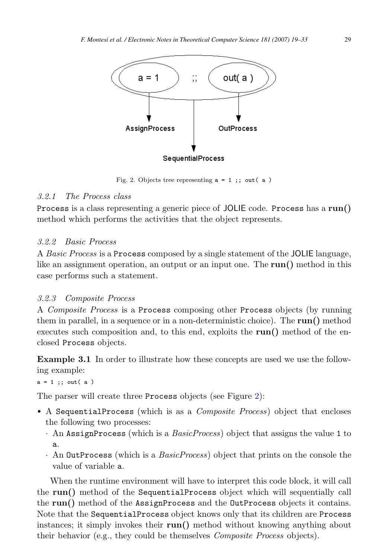

Fig. 2. Objects tree representing  $a = 1$ ;; out(a)

### 3.2.1 The Process class

Process is a class representing a generic piece of JOLIE code. Process has a **run()** method which performs the activities that the object represents.

#### 3.2.2 Basic Process

A Basic Process is a Process composed by a single statement of the JOLIE language, like an assignment operation, an output or an input one. The **run()** method in this case performs such a statement.

#### 3.2.3 Composite Process

A Composite Process is a Process composing other Process objects (by running them in parallel, in a sequence or in a non-deterministic choice). The **run()** method executes such composition and, to this end, exploits the **run()** method of the enclosed Process objects.

**Example 3.1** In order to illustrate how these concepts are used we use the following example:

 $a = 1$ ;; out(a)

The parser will create three Process objects (see Figure 2):

- A SequentialProcess (which is as a *Composite Process*) object that encloses the following two processes:
	- $\cdot$  An AssignProcess (which is a *BasicProcess*) object that assigns the value 1 to a.
	- $\cdot$  An OutProcess (which is a *BasicProcess*) object that prints on the console the value of variable a.

When the runtime environment will have to interpret this code block, it will call the **run()** method of the SequentialProcess object which will sequentially call the **run()** method of the AssignProcess and the OutProcess objects it contains. Note that the SequentialProcess object knows only that its children are Process instances; it simply invokes their **run()** method without knowing anything about their behavior (e.g., they could be themselves Composite Process objects).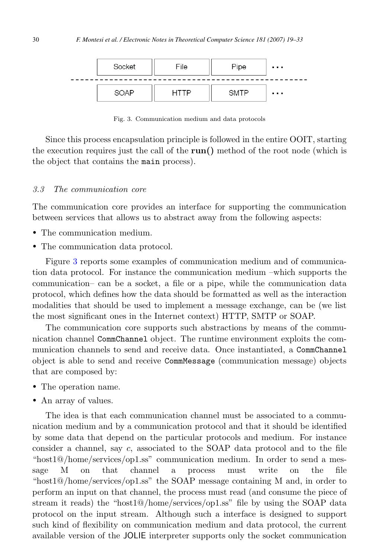

Fig. 3. Communication medium and data protocols

Since this process encapsulation principle is followed in the entire OOIT, starting the execution requires just the call of the **run()** method of the root node (which is the object that contains the main process).

## 3.3 The communication core

The communication core provides an interface for supporting the communication between services that allows us to abstract away from the following aspects:

- The communication medium.
- The communication data protocol.

Figure 3 reports some examples of communication medium and of communication data protocol. For instance the communication medium –which supports the communication– can be a socket, a file or a pipe, while the communication data protocol, which defines how the data should be formatted as well as the interaction modalities that should be used to implement a message exchange, can be (we list the most significant ones in the Internet context) HTTP, SMTP or SOAP.

The communication core supports such abstractions by means of the communication channel CommChannel object. The runtime environment exploits the communication channels to send and receive data. Once instantiated, a CommChannel object is able to send and receive CommMessage (communication message) objects that are composed by:

- The operation name.
- An array of values.

The idea is that each communication channel must be associated to a communication medium and by a communication protocol and that it should be identified by some data that depend on the particular protocols and medium. For instance consider a channel, say c, associated to the SOAP data protocol and to the file "host1@/home/services/op1.ss" communication medium. In order to send a message M on that channel a process must write on the file "host1@/home/services/op1.ss" the SOAP message containing M and, in order to perform an input on that channel, the process must read (and consume the piece of stream it reads) the "host1@/home/services/op1.ss" file by using the SOAP data protocol on the input stream. Although such a interface is designed to support such kind of flexibility on communication medium and data protocol, the current available version of the JOLIE interpreter supports only the socket communication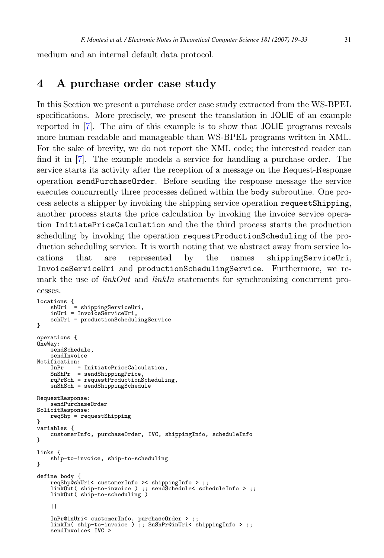medium and an internal default data protocol.

# **4 A purchase order case study**

In this Section we present a purchase order case study extracted from the WS-BPEL specifications. More precisely, we present the translation in JOLIE of an example reported in [\[7\]](#page-13-0). The aim of this example is to show that JOLIE programs reveals more human readable and manageable than WS-BPEL programs written in XML. For the sake of brevity, we do not report the XML code; the interested reader can find it in [\[7\]](#page-13-0). The example models a service for handling a purchase order. The service starts its activity after the reception of a message on the Request-Response operation sendPurchaseOrder. Before sending the response message the service executes concurrently three processes defined within the body subroutine. One process selects a shipper by invoking the shipping service operation requestShipping, another process starts the price calculation by invoking the invoice service operation InitiatePriceCalculation and the the third process starts the production scheduling by invoking the operation requestProductionScheduling of the production scheduling service. It is worth noting that we abstract away from service locations that are represented by the names shippingServiceUri, InvoiceServiceUri and productionSchedulingService. Furthermore, we remark the use of *linkOut* and *linkIn* statements for synchronizing concurrent processes.

```
locations {
    shUri = shippingServiceUri,
    inUri = InvoiceServiceUri,
    schUri = productionSchedulingService
}
operations {
OneWay:
    sendSchedule,
    sendInvoice
Notification:
    InPr = InitiatePriceCalculation,
SnShPr = sendShippingPrice,
    rqPrSch = requestProductionScheduling,
    snShSch = sendShippingSchedule
RequestResponse:
    sendPurchaseOrder
SolicitResponse:
    reqShp = requestShipping}
variables {
    customerInfo, purchaseOrder, IVC, shippingInfo, scheduleInfo
}
links {
    ship-to-invoice, ship-to-scheduling
}
define body {
    reqShp@shUri< customerInfo >< shippingInfo > ;;
    linkOut( ship-to-invoice ) ;; sendSchedule< scheduleInfo > ;;
    linkOut( ship-to-scheduling )
    ||InPr@inUri< customerInfo, purchaseOrder > ;;
linkIn( ship-to-invoice ) ;; SnShPr@inUri< shippingInfo > ;;
    sendInvoice< IVC >
```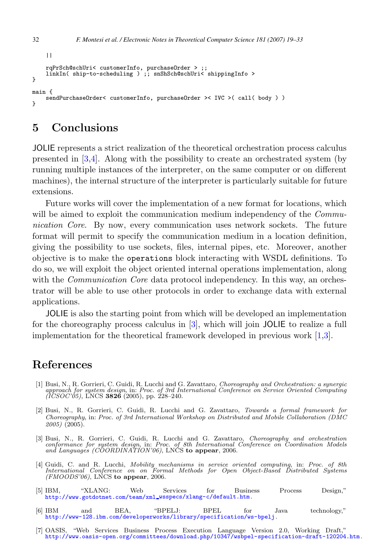```
||rqPrSch@schUri< customerInfo, purchaseOrder > ;;
linkIn( ship-to-scheduling ) ;; snShSch@schUri< shippingInfo >
}
main {
     sendPurchaseOrder< customerInfo, purchaseOrder >< IVC >(call(body))
}
```
# **5 Conclusions**

JOLIE represents a strict realization of the theoretical orchestration process calculus presented in [3,4]. Along with the possibility to create an orchestrated system (by running multiple instances of the interpreter, on the same computer or on different machines), the internal structure of the interpreter is particularly suitable for future extensions.

Future works will cover the implementation of a new format for locations, which will be aimed to exploit the communication medium independency of the *Commu*nication Core. By now, every communication uses network sockets. The future format will permit to specify the communication medium in a location definition, giving the possibility to use sockets, files, internal pipes, etc. Moreover, another objective is to make the operations block interacting with WSDL definitions. To do so, we will exploit the object oriented internal operations implementation, along with the *Communication Core* data protocol independency. In this way, an orchestrator will be able to use other protocols in order to exchange data with external applications.

JOLIE is also the starting point from which will be developed an implementation for the choreography process calculus in [3], which will join JOLIE to realize a full implementation for the theoretical framework developed in previous work [1,3].

# **References**

- [1] Busi, N., R. Gorrieri, C. Guidi, R. Lucchi and G. Zavattaro, Choreography and Orchestration: a synergic approach for system design, in: Proc. of 3rd International Conference on Service Oriented Computing (ICSOC'05), LNCS **<sup>3826</sup>** (2005), pp. 228–240.
- [2] Busi, N., R. Gorrieri, C. Guidi, R. Lucchi and G. Zavattaro, Towards a formal framework for Choreography, in: Proc. of 3rd International Workshop on Distributed and Mobile Collaboration (DMC 2005) (2005).
- [3] Busi, N., R. Gorrieri, C. Guidi, R. Lucchi and G. Zavattaro, Choreography and orchestration conformance for system design, in: Proc. of 8th International Conference on Coordination Models and Languages (COORDINATION'06), LNCS **to appear**, 2006.
- [4] Guidi, C. and R. Lucchi, Mobility mechanisms in service oriented computing, in: Proc. of 8th International Conference on on Formal Methods for Open Object-Based Distributed Systems (FMOODS'06), LNCS **to appear**, 2006.
- [5] IBM, "XLANG: Web Services for Business Process Design," [http://www.gotdotnet.com/team/xml](http://www.gotdotnet.com/team/xml_wsspecs/xlang-c/default.htm) wsspecs/xlang-c/default.htm.
- [6] IBM and BEA, "BPELJ: BPEL for Java technology," <http://www-128.ibm.com/developerworks/library/specification/ws-bpelj>.
- [7] OASIS, "Web Services Business Process Execution Language Version 2.0, Working Draft," <http://www.oasis-open.org/committees/download.php/10347/wsbpel-specification-draft-120204.htm>.